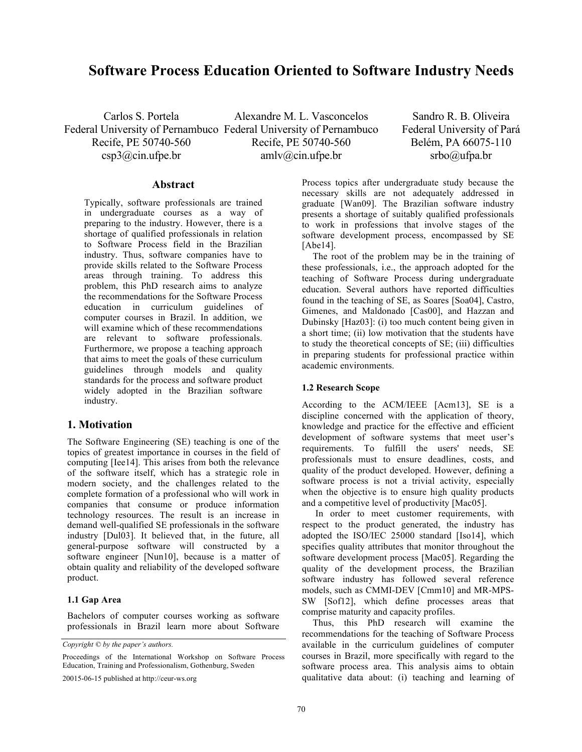# **Software Process Education Oriented to Software Industry Needs**

Carlos S. Portela Federal University of Pernambuco Federal University of Pernambuco Recife, PE 50740-560  $\exp 3\omega$ cin.ufpe.br Alexandre M. L. Vasconcelos Recife, PE 50740-560 amlv@cin.ufpe.br

Sandro R. B. Oliveira Federal University of Pará Belém, PA 66075-110 srbo@ufpa.br

### **Abstract**

Typically, software professionals are trained in undergraduate courses as a way of preparing to the industry. However, there is a shortage of qualified professionals in relation to Software Process field in the Brazilian industry. Thus, software companies have to provide skills related to the Software Process areas through training. To address this problem, this PhD research aims to analyze the recommendations for the Software Process education in curriculum guidelines of computer courses in Brazil. In addition, we will examine which of these recommendations are relevant to software professionals. Furthermore, we propose a teaching approach that aims to meet the goals of these curriculum guidelines through models and quality standards for the process and software product widely adopted in the Brazilian software industry.

# **1. Motivation**

The Software Engineering (SE) teaching is one of the topics of greatest importance in courses in the field of computing [Iee14]. This arises from both the relevance of the software itself, which has a strategic role in modern society, and the challenges related to the complete formation of a professional who will work in companies that consume or produce information technology resources. The result is an increase in demand well-qualified SE professionals in the software industry [Dul03]. It believed that, in the future, all general-purpose software will constructed by a software engineer [Nun10], because is a matter of obtain quality and reliability of the developed software product.

#### **1.1 Gap Area**

Bachelors of computer courses working as software professionals in Brazil learn more about Software

*Copyright © by the paper's authors.* 

Proceedings of the International Workshop on Software Process Education, Training and Professionalism, Gothenburg, Sweden

20015-06-15 published at http://ceur-ws.org

Process topics after undergraduate study because the necessary skills are not adequately addressed in graduate [Wan09]. The Brazilian software industry presents a shortage of suitably qualified professionals to work in professions that involve stages of the software development process, encompassed by SE [Abe14].

The root of the problem may be in the training of these professionals, i.e., the approach adopted for the teaching of Software Process during undergraduate education. Several authors have reported difficulties found in the teaching of SE, as Soares [Soa04], Castro, Gimenes, and Maldonado [Cas00], and Hazzan and Dubinsky [Haz03]: (i) too much content being given in a short time; (ii) low motivation that the students have to study the theoretical concepts of SE; (iii) difficulties in preparing students for professional practice within academic environments.

#### **1.2 Research Scope**

According to the ACM/IEEE [Acm13], SE is a discipline concerned with the application of theory, knowledge and practice for the effective and efficient development of software systems that meet user's requirements. To fulfill the users' needs, SE professionals must to ensure deadlines, costs, and quality of the product developed. However, defining a software process is not a trivial activity, especially when the objective is to ensure high quality products and a competitive level of productivity [Mac05].

In order to meet customer requirements, with respect to the product generated, the industry has adopted the ISO/IEC 25000 standard [Iso14], which specifies quality attributes that monitor throughout the software development process [Mac05]. Regarding the quality of the development process, the Brazilian software industry has followed several reference models, such as CMMI-DEV [Cmm10] and MR-MPS-SW [Sof12], which define processes areas that comprise maturity and capacity profiles.

Thus, this PhD research will examine the recommendations for the teaching of Software Process available in the curriculum guidelines of computer courses in Brazil, more specifically with regard to the software process area. This analysis aims to obtain qualitative data about: (i) teaching and learning of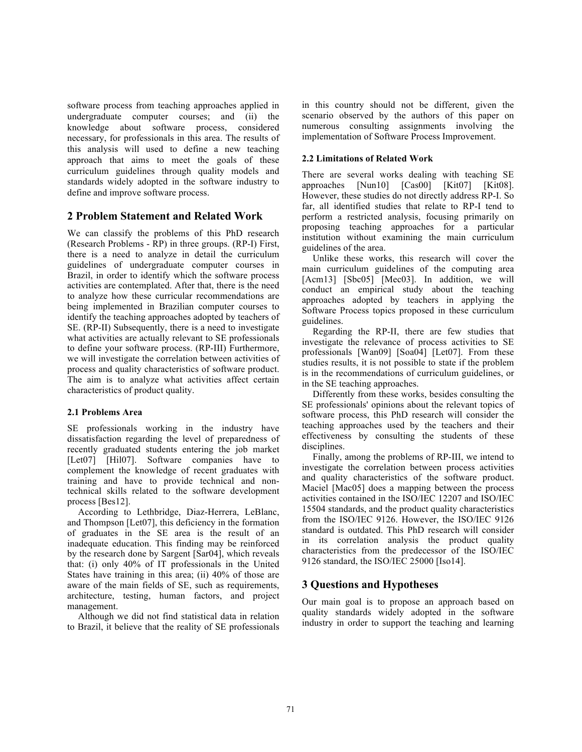software process from teaching approaches applied in undergraduate computer courses; and (ii) the knowledge about software process, considered necessary, for professionals in this area. The results of this analysis will used to define a new teaching approach that aims to meet the goals of these curriculum guidelines through quality models and standards widely adopted in the software industry to define and improve software process.

# **2 Problem Statement and Related Work**

We can classify the problems of this PhD research (Research Problems - RP) in three groups. (RP-I) First, there is a need to analyze in detail the curriculum guidelines of undergraduate computer courses in Brazil, in order to identify which the software process activities are contemplated. After that, there is the need to analyze how these curricular recommendations are being implemented in Brazilian computer courses to identify the teaching approaches adopted by teachers of SE. (RP-II) Subsequently, there is a need to investigate what activities are actually relevant to SE professionals to define your software process. (RP-III) Furthermore, we will investigate the correlation between activities of process and quality characteristics of software product. The aim is to analyze what activities affect certain characteristics of product quality.

### **2.1 Problems Area**

SE professionals working in the industry have dissatisfaction regarding the level of preparedness of recently graduated students entering the job market [Let07] [Hil07]. Software companies have to complement the knowledge of recent graduates with training and have to provide technical and nontechnical skills related to the software development process [Bes12].

According to Lethbridge, Diaz-Herrera, LeBlanc, and Thompson [Let07], this deficiency in the formation of graduates in the SE area is the result of an inadequate education. This finding may be reinforced by the research done by Sargent [Sar04], which reveals that: (i) only 40% of IT professionals in the United States have training in this area; (ii) 40% of those are aware of the main fields of SE, such as requirements, architecture, testing, human factors, and project management.

Although we did not find statistical data in relation to Brazil, it believe that the reality of SE professionals

in this country should not be different, given the scenario observed by the authors of this paper on numerous consulting assignments involving the implementation of Software Process Improvement.

### **2.2 Limitations of Related Work**

There are several works dealing with teaching SE approaches [Nun10] [Cas00] [Kit07] [Kit08]. However, these studies do not directly address RP-I. So far, all identified studies that relate to RP-I tend to perform a restricted analysis, focusing primarily on proposing teaching approaches for a particular institution without examining the main curriculum guidelines of the area.

Unlike these works, this research will cover the main curriculum guidelines of the computing area [Acm13] [Sbc05] [Mec03]. In addition, we will conduct an empirical study about the teaching approaches adopted by teachers in applying the Software Process topics proposed in these curriculum guidelines.

Regarding the RP-II, there are few studies that investigate the relevance of process activities to SE professionals [Wan09] [Soa04] [Let07]. From these studies results, it is not possible to state if the problem is in the recommendations of curriculum guidelines, or in the SE teaching approaches.

Differently from these works, besides consulting the SE professionals' opinions about the relevant topics of software process, this PhD research will consider the teaching approaches used by the teachers and their effectiveness by consulting the students of these disciplines.

Finally, among the problems of RP-III, we intend to investigate the correlation between process activities and quality characteristics of the software product. Maciel [Mac05] does a mapping between the process activities contained in the ISO/IEC 12207 and ISO/IEC 15504 standards, and the product quality characteristics from the ISO/IEC 9126. However, the ISO/IEC 9126 standard is outdated. This PhD research will consider in its correlation analysis the product quality characteristics from the predecessor of the ISO/IEC 9126 standard, the ISO/IEC 25000 [Iso14].

# **3 Questions and Hypotheses**

Our main goal is to propose an approach based on quality standards widely adopted in the software industry in order to support the teaching and learning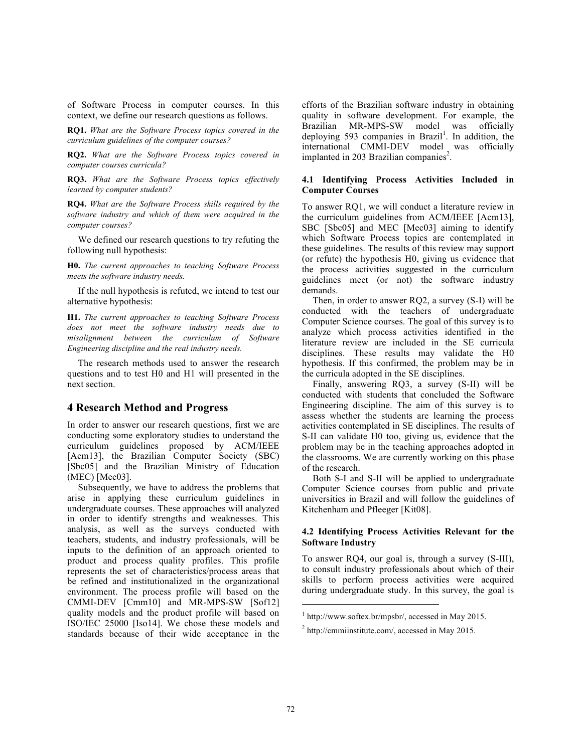of Software Process in computer courses. In this context, we define our research questions as follows.

**RQ1.** *What are the Software Process topics covered in the curriculum guidelines of the computer courses?*

**RQ2.** *What are the Software Process topics covered in computer courses curricula?*

**RQ3.** *What are the Software Process topics effectively learned by computer students?*

**RQ4.** *What are the Software Process skills required by the software industry and which of them were acquired in the computer courses?*

We defined our research questions to try refuting the following null hypothesis:

**H0.** *The current approaches to teaching Software Process meets the software industry needs.*

If the null hypothesis is refuted, we intend to test our alternative hypothesis:

**H1.** *The current approaches to teaching Software Process does not meet the software industry needs due to misalignment between the curriculum of Software Engineering discipline and the real industry needs.*

The research methods used to answer the research questions and to test H0 and H1 will presented in the next section.

# **4 Research Method and Progress**

In order to answer our research questions, first we are conducting some exploratory studies to understand the curriculum guidelines proposed by ACM/IEEE [Acm13], the Brazilian Computer Society (SBC) [Sbc05] and the Brazilian Ministry of Education (MEC) [Mec03].

Subsequently, we have to address the problems that arise in applying these curriculum guidelines in undergraduate courses. These approaches will analyzed in order to identify strengths and weaknesses. This analysis, as well as the surveys conducted with teachers, students, and industry professionals, will be inputs to the definition of an approach oriented to product and process quality profiles. This profile represents the set of characteristics/process areas that be refined and institutionalized in the organizational environment. The process profile will based on the CMMI-DEV [Cmm10] and MR-MPS-SW [Sof12] quality models and the product profile will based on ISO/IEC 25000 [Iso14]. We chose these models and standards because of their wide acceptance in the efforts of the Brazilian software industry in obtaining quality in software development. For example, the Brazilian MR-MPS-SW model was officially deploying 593 companies in Brazil<sup>1</sup>. In addition, the international CMMI-DEV model was officially implanted in 203 Brazilian companies<sup>2</sup>.

# **4.1 Identifying Process Activities Included in Computer Courses**

To answer RQ1, we will conduct a literature review in the curriculum guidelines from ACM/IEEE [Acm13], SBC [Sbc05] and MEC [Mec03] aiming to identify which Software Process topics are contemplated in these guidelines. The results of this review may support (or refute) the hypothesis H0, giving us evidence that the process activities suggested in the curriculum guidelines meet (or not) the software industry demands.

Then, in order to answer RQ2, a survey (S-I) will be conducted with the teachers of undergraduate Computer Science courses. The goal of this survey is to analyze which process activities identified in the literature review are included in the SE curricula disciplines. These results may validate the H0 hypothesis. If this confirmed, the problem may be in the curricula adopted in the SE disciplines.

Finally, answering RQ3, a survey (S-II) will be conducted with students that concluded the Software Engineering discipline. The aim of this survey is to assess whether the students are learning the process activities contemplated in SE disciplines. The results of S-II can validate H0 too, giving us, evidence that the problem may be in the teaching approaches adopted in the classrooms. We are currently working on this phase of the research.

Both S-I and S-II will be applied to undergraduate Computer Science courses from public and private universities in Brazil and will follow the guidelines of Kitchenham and Pfleeger [Kit08].

#### **4.2 Identifying Process Activities Relevant for the Software Industry**

To answer RQ4, our goal is, through a survey (S-III), to consult industry professionals about which of their skills to perform process activities were acquired during undergraduate study. In this survey, the goal is

 $\overline{a}$ 

 $1$  http://www.softex.br/mpsbr/, accessed in May 2015.

 $^{2}$  http://cmmiinstitute.com/, accessed in May 2015.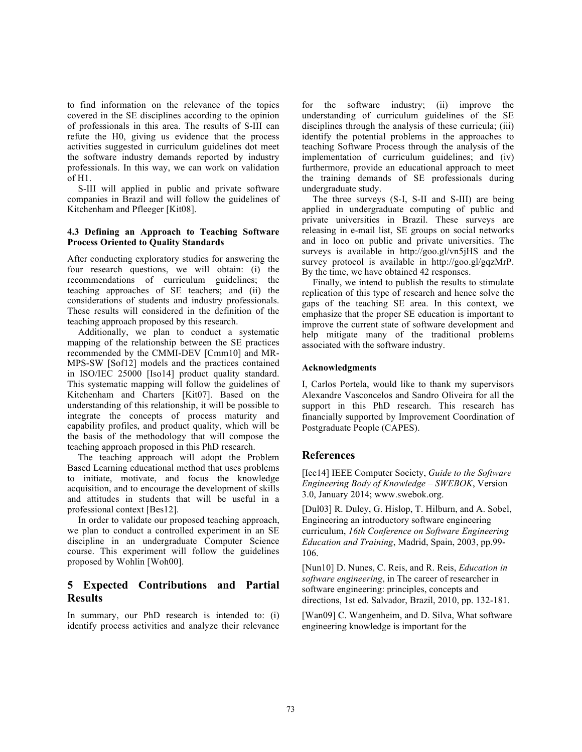to find information on the relevance of the topics covered in the SE disciplines according to the opinion of professionals in this area. The results of S-III can refute the H0, giving us evidence that the process activities suggested in curriculum guidelines dot meet the software industry demands reported by industry professionals. In this way, we can work on validation of H1.

S-III will applied in public and private software companies in Brazil and will follow the guidelines of Kitchenham and Pfleeger [Kit08].

### **4.3 Defining an Approach to Teaching Software Process Oriented to Quality Standards**

After conducting exploratory studies for answering the four research questions, we will obtain: (i) the recommendations of curriculum guidelines; the teaching approaches of SE teachers; and (ii) the considerations of students and industry professionals. These results will considered in the definition of the teaching approach proposed by this research.

Additionally, we plan to conduct a systematic mapping of the relationship between the SE practices recommended by the CMMI-DEV [Cmm10] and MR-MPS-SW [Sof12] models and the practices contained in ISO/IEC 25000 [Iso14] product quality standard. This systematic mapping will follow the guidelines of Kitchenham and Charters [Kit07]. Based on the understanding of this relationship, it will be possible to integrate the concepts of process maturity and capability profiles, and product quality, which will be the basis of the methodology that will compose the teaching approach proposed in this PhD research.

The teaching approach will adopt the Problem Based Learning educational method that uses problems to initiate, motivate, and focus the knowledge acquisition, and to encourage the development of skills and attitudes in students that will be useful in a professional context [Bes12].

In order to validate our proposed teaching approach, we plan to conduct a controlled experiment in an SE discipline in an undergraduate Computer Science course. This experiment will follow the guidelines proposed by Wohlin [Woh00].

# **5 Expected Contributions and Partial Results**

In summary, our PhD research is intended to: (i) identify process activities and analyze their relevance

for the software industry; (ii) improve the understanding of curriculum guidelines of the SE disciplines through the analysis of these curricula; (iii) identify the potential problems in the approaches to teaching Software Process through the analysis of the implementation of curriculum guidelines; and (iv) furthermore, provide an educational approach to meet the training demands of SE professionals during undergraduate study.

The three surveys (S-I, S-II and S-III) are being applied in undergraduate computing of public and private universities in Brazil. These surveys are releasing in e-mail list, SE groups on social networks and in loco on public and private universities. The surveys is available in http://goo.gl/vn5jHS and the survey protocol is available in http://goo.gl/gqzMrP. By the time, we have obtained 42 responses.

Finally, we intend to publish the results to stimulate replication of this type of research and hence solve the gaps of the teaching SE area. In this context, we emphasize that the proper SE education is important to improve the current state of software development and help mitigate many of the traditional problems associated with the software industry.

### **Acknowledgments**

I, Carlos Portela, would like to thank my supervisors Alexandre Vasconcelos and Sandro Oliveira for all the support in this PhD research. This research has financially supported by Improvement Coordination of Postgraduate People (CAPES).

# **References**

[Iee14] IEEE Computer Society, *Guide to the Software Engineering Body of Knowledge – SWEBOK*, Version 3.0, January 2014; www.swebok.org.

[Dul03] R. Duley, G. Hislop, T. Hilburn, and A. Sobel, Engineering an introductory software engineering curriculum, *16th Conference on Software Engineering Education and Training*, Madrid, Spain, 2003, pp.99- 106.

[Nun10] D. Nunes, C. Reis, and R. Reis, *Education in software engineering*, in The career of researcher in software engineering: principles, concepts and directions, 1st ed. Salvador, Brazil, 2010, pp. 132-181.

[Wan09] C. Wangenheim, and D. Silva, What software engineering knowledge is important for the